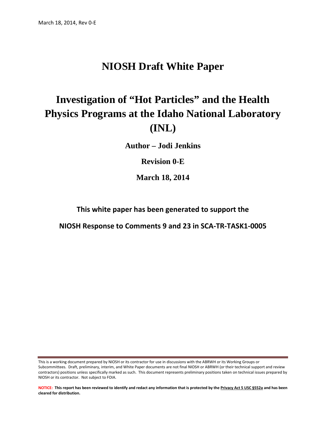# **NIOSH Draft White Paper**

# **Investigation of "Hot Particles" and the Health Physics Programs at the Idaho National Laboratory (INL)**

**Author – Jodi Jenkins**

**Revision 0-E** 

**March 18, 2014** 

**This white paper has been generated to support the**

**NIOSH Response to Comments 9 and 23 in SCA-TR-TASK1-0005**

This is a working document prepared by NIOSH or its contractor for use in discussions with the ABRWH or its Working Groups or Subcommittees. Draft, preliminary, interim, and White Paper documents are not final NIOSH or ABRWH (or their technical support and review contractors) positions unless specifically marked as such. This document represents preliminary positions taken on technical issues prepared by NIOSH or its contractor. Not subject to FOIA.

**NOTICE: This report has been reviewed to identify and redact any information that is protected by the Privacy Act 5 USC §552a and has been cleared for distribution.**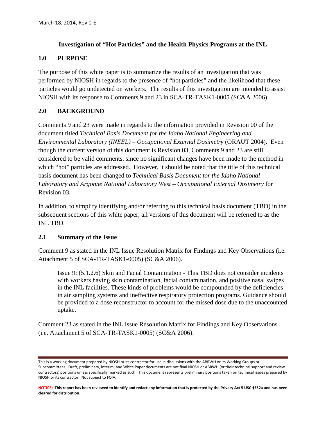#### **Investigation of "Hot Particles" and the Health Physics Programs at the INL**

#### **1.0 PURPOSE**

The purpose of this white paper is to summarize the results of an investigation that was performed by NIOSH in regards to the presence of "hot particles" and the likelihood that these particles would go undetected on workers. The results of this investigation are intended to assist NIOSH with its response to Comments 9 and 23 in SCA-TR-TASK1-0005 (SC&A 2006).

## **2.0 BACKGROUND**

Comments 9 and 23 were made in regards to the information provided in Revision 00 of the document titled *Technical Basis Document for the Idaho National Engineering and Environmental Laboratory (INEEL) – Occupational External Dosimetry* (ORAUT 2004). Even though the current version of this document is Revision 03, Comments 9 and 23 are still considered to be valid comments, since no significant changes have been made to the method in which "hot" particles are addressed. However, it should be noted that the title of this technical basis document has been changed to *Technical Basis Document for the Idaho National Laboratory and Argonne National Laboratory West – Occupational External Dosimetry* for Revision 03.

In addition, to simplify identifying and/or referring to this technical basis document (TBD) in the subsequent sections of this white paper, all versions of this document will be referred to as the INL TBD.

#### **2.1 Summary of the Issue**

Comment 9 as stated in the INL Issue Resolution Matrix for Findings and Key Observations (i.e. Attachment 5 of SCA-TR-TASK1-0005) (SC&A 2006).

Issue 9: (5.1.2.6) Skin and Facial Contamination - This TBD does not consider incidents with workers having skin contamination, facial contamination, and positive nasal swipes in the INL facilities. These kinds of problems would be compounded by the deficiencies in air sampling systems and ineffective respiratory protection programs. Guidance should be provided to a dose reconstructor to account for the missed dose due to the unaccounted uptake.

Comment 23 as stated in the INL Issue Resolution Matrix for Findings and Key Observations (i.e. Attachment 5 of SCA-TR-TASK1-0005) (SC&A 2006).

This is a working document prepared by NIOSH or its contractor for use in discussions with the ABRWH or its Working Groups or Subcommittees. Draft, preliminary, interim, and White Paper documents are not final NIOSH or ABRWH (or their technical support and review contractors) positions unless specifically marked as such. This document represents preliminary positions taken on technical issues prepared by NIOSH or its contractor. Not subject to FOIA.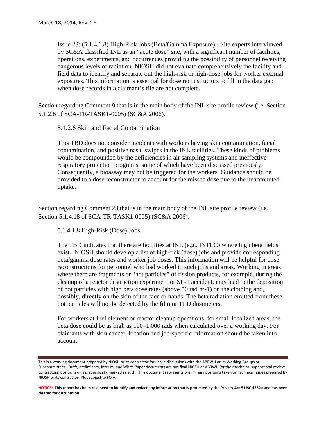Issue 23: (5.1.4.1.8) High-Risk Jobs (Beta/Gamma Exposure) - Site experts interviewed by SC&A classified INL as an "acute dose" site, with a significant number of facilities, operations, experiments, and occurrences providing the possibility of personnel receiving dangerous levels of radiation. NIOSH did not evaluate comprehensively the facility and field data to identify and separate out the high-risk or high-dose jobs for worker external exposures. This information is essential for dose reconstructors to fill in the data gap when dose records in a claimant's file are not complete.

Section regarding Comment 9 that is in the main body of the INL site profile review (i.e. Section 5.1.2.6 of SCA-TR-TASK1-0005) (SC&A 2006).

5.1.2.6 Skin and Facial Contamination

This TBD does not consider incidents with workers having skin contamination, facial contamination, and positive nasal swipes in the INL facilities. These kinds of problems would be compounded by the deficiencies in air sampling systems and ineffective respiratory protection programs, some of which have been discussed previously. Consequently, a bioassay may not be triggered for the workers. Guidance should be provided to a dose reconstructor to account for the missed dose due to the unaccounted uptake.

Section regarding Comment 23 that is in the main body of the INL site profile review (i.e. Section 5.1.4.18 of SCA-TR-TASK1-0005) (SC&A 2006).

5.1.4.1.8 High-Risk (Dose) Jobs

The TBD indicates that there are facilities at INL (e.g., INTEC) where high beta fields exist. NIOSH should develop a list of high-risk (dose) jobs and provide corresponding beta/gamma dose rates and worker job doses. This information will be helpful for dose reconstructions for personnel who had worked in such jobs and areas. Working in areas where there are fragments or "hot particles" of fission products, for example, during the cleanup of a reactor destruction experiment or SL-1 accident, may lead to the deposition of hot particles with high beta dose rates (above 50 rad hr-1) on the clothing and, possibly, directly on the skin of the face or hands. The beta radiation emitted from these hot particles will not be detected by the film or TLD dosimeters.

For workers at fuel element or reactor cleanup operations, for small localized areas, the beta dose could be as high as 100–1,000 rads when calculated over a working day. For claimants with skin cancer, location and job-specific information should be taken into account.

This is a working document prepared by NIOSH or its contractor for use in discussions with the ABRWH or its Working Groups or Subcommittees. Draft, preliminary, interim, and White Paper documents are not final NIOSH or ABRWH (or their technical support and review contractors) positions unless specifically marked as such. This document represents preliminary positions taken on technical issues prepared by NIOSH or its contractor. Not subject to FOIA.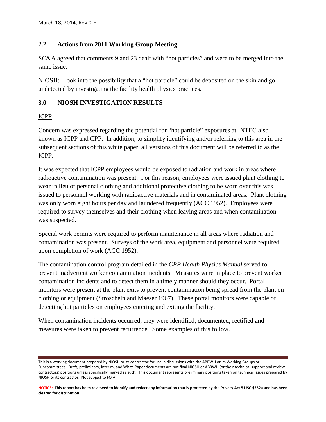#### **2.2 Actions from 2011 Working Group Meeting**

SC&A agreed that comments 9 and 23 dealt with "hot particles" and were to be merged into the same issue.

NIOSH: Look into the possibility that a "hot particle" could be deposited on the skin and go undetected by investigating the facility health physics practices.

### **3.0 NIOSH INVESTIGATION RESULTS**

### ICPP

Concern was expressed regarding the potential for "hot particle" exposures at INTEC also known as ICPP and CPP. In addition, to simplify identifying and/or referring to this area in the subsequent sections of this white paper, all versions of this document will be referred to as the ICPP.

It was expected that ICPP employees would be exposed to radiation and work in areas where radioactive contamination was present. For this reason, employees were issued plant clothing to wear in lieu of personal clothing and additional protective clothing to be worn over this was issued to personnel working with radioactive materials and in contaminated areas. Plant clothing was only worn eight hours per day and laundered frequently (ACC 1952). Employees were required to survey themselves and their clothing when leaving areas and when contamination was suspected.

Special work permits were required to perform maintenance in all areas where radiation and contamination was present. Surveys of the work area, equipment and personnel were required upon completion of work (ACC 1952).

The contamination control program detailed in the *CPP Health Physics Manual* served to prevent inadvertent worker contamination incidents. Measures were in place to prevent worker contamination incidents and to detect them in a timely manner should they occur. Portal monitors were present at the plant exits to prevent contamination being spread from the plant on clothing or equipment (Stroschein and Maeser 1967). These portal monitors were capable of detecting hot particles on employees entering and exiting the facility.

When contamination incidents occurred, they were identified, documented, rectified and measures were taken to prevent recurrence. Some examples of this follow.

This is a working document prepared by NIOSH or its contractor for use in discussions with the ABRWH or its Working Groups or Subcommittees. Draft, preliminary, interim, and White Paper documents are not final NIOSH or ABRWH (or their technical support and review contractors) positions unless specifically marked as such. This document represents preliminary positions taken on technical issues prepared by NIOSH or its contractor. Not subject to FOIA.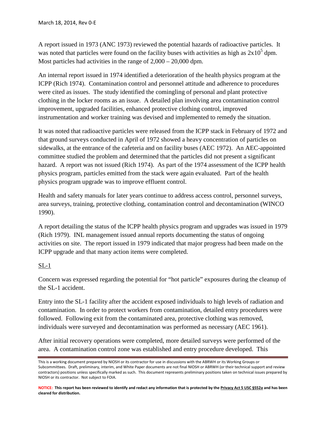A report issued in 1973 (ANC 1973) reviewed the potential hazards of radioactive particles. It was noted that particles were found on the facility buses with activities as high as  $2x10<sup>5</sup>$  dpm. Most particles had activities in the range of 2,000 – 20,000 dpm.

An internal report issued in 1974 identified a deterioration of the health physics program at the ICPP (Rich 1974). Contamination control and personnel attitude and adherence to procedures were cited as issues. The study identified the comingling of personal and plant protective clothing in the locker rooms as an issue. A detailed plan involving area contamination control improvement, upgraded facilities, enhanced protective clothing control, improved instrumentation and worker training was devised and implemented to remedy the situation.

It was noted that radioactive particles were released from the ICPP stack in February of 1972 and that ground surveys conducted in April of 1972 showed a heavy concentration of particles on sidewalks, at the entrance of the cafeteria and on facility buses (AEC 1972). An AEC-appointed committee studied the problem and determined that the particles did not present a significant hazard. A report was not issued (Rich 1974). As part of the 1974 assessment of the ICPP health physics program, particles emitted from the stack were again evaluated. Part of the health physics program upgrade was to improve effluent control.

Health and safety manuals for later years continue to address access control, personnel surveys, area surveys, training, protective clothing, contamination control and decontamination (WINCO 1990).

A report detailing the status of the ICPP health physics program and upgrades was issued in 1979 (Rich 1979). INL management issued annual reports documenting the status of ongoing activities on site. The report issued in 1979 indicated that major progress had been made on the ICPP upgrade and that many action items were completed.

#### $SL-1$

Concern was expressed regarding the potential for "hot particle" exposures during the cleanup of the SL-1 accident.

Entry into the SL-1 facility after the accident exposed individuals to high levels of radiation and contamination. In order to protect workers from contamination, detailed entry procedures were followed. Following exit from the contaminated area, protective clothing was removed, individuals were surveyed and decontamination was performed as necessary (AEC 1961).

After initial recovery operations were completed, more detailed surveys were performed of the area. A contamination control zone was established and entry procedure developed. This

This is a working document prepared by NIOSH or its contractor for use in discussions with the ABRWH or its Working Groups or Subcommittees. Draft, preliminary, interim, and White Paper documents are not final NIOSH or ABRWH (or their technical support and review contractors) positions unless specifically marked as such. This document represents preliminary positions taken on technical issues prepared by NIOSH or its contractor. Not subject to FOIA.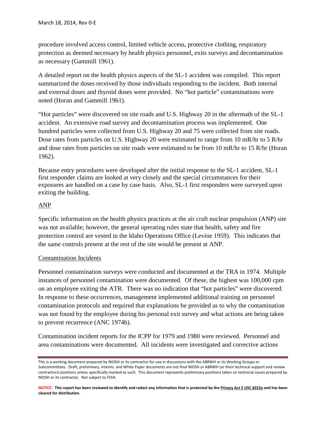procedure involved access control, limited vehicle access, protective clothing, respiratory protection as deemed necessary by health physics personnel, exits surveys and decontamination as necessary (Gammill 1961).

A detailed report on the health physics aspects of the SL-1 accident was compiled. This report summarized the doses received by those individuals responding to the incident. Both internal and external doses and thyroid doses were provided. No "hot particle" contaminations were noted (Horan and Gammill 1961).

"Hot particles" were discovered on site roads and U.S. Highway 20 in the aftermath of the SL-1 accident. An extensive road survey and decontamination process was implemented. One hundred particles were collected from U.S. Highway 20 and 75 were collected from site roads. Dose rates from particles on U.S. Highway 20 were estimated to range from 10 mR/hr to 5 R/hr and dose rates from particles on site roads were estimated to be from 10 mR/hr to 15 R/hr (Horan 1962).

Because entry procedures were developed after the initial response to the SL-1 accident, SL-1 first responder claims are looked at very closely and the special circumstances for their exposures are handled on a case by case basis. Also, SL-1 first responders were surveyed upon exiting the building.

### ANP

Specific information on the health physics practices at the air craft nuclear propulsion (ANP) site was not available; however, the general operating rules state that health, safety and fire protection control are vested in the Idaho Operations Office (Levine 1959). This indicates that the same controls present at the rest of the site would be present at ANP.

#### Contamination Incidents

Personnel contamination surveys were conducted and documented at the TRA in 1974. Multiple instances of personnel contamination were documented. Of these, the highest was 100,000 cpm on an employee exiting the ATR. There was no indication that "hot particles" were discovered. In response to these occurrences, management implemented additional training on personnel contamination protocols and required that explanations be provided as to why the contamination was not found by the employee during his personal exit survey and what actions are being taken to prevent recurrence (ANC 1974b).

Contamination incident reports for the ICPP for 1979 and 1980 were reviewed. Personnel and area contaminations were documented. All incidents were investigated and corrective actions

This is a working document prepared by NIOSH or its contractor for use in discussions with the ABRWH or its Working Groups or Subcommittees. Draft, preliminary, interim, and White Paper documents are not final NIOSH or ABRWH (or their technical support and review contractors) positions unless specifically marked as such. This document represents preliminary positions taken on technical issues prepared by NIOSH or its contractor. Not subject to FOIA.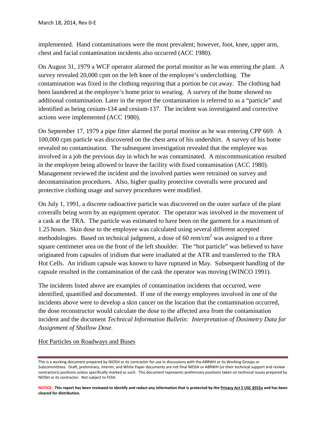implemented. Hand contaminations were the most prevalent; however, foot, knee, upper arm, chest and facial contamination incidents also occurred (ACC 1980).

On August 31, 1979 a WCF operator alarmed the portal monitor as he was entering the plant. A survey revealed 20,000 cpm on the left knee of the employee's underclothing. The contamination was fixed in the clothing requiring that a portion be cut away. The clothing had been laundered at the employee's home prior to wearing. A survey of the home showed no additional contamination. Later in the report the contamination is referred to as a "particle" and identified as being cesium-134 and cesium-137. The incident was investigated and corrective actions were implemented (ACC 1980).

On September 17, 1979 a pipe fitter alarmed the portal monitor as he was entering CPP 669. A 100,000 cpm particle was discovered on the chest area of his undershirt. A survey of his home revealed no contamination. The subsequent investigation revealed that the employee was involved in a job the previous day in which he was contaminated. A miscommunication resulted in the employee being allowed to leave the facility with fixed contamination (ACC 1980). Management reviewed the incident and the involved parties were retrained on survey and decontamination procedures. Also, higher quality protective coveralls were procured and protective clothing usage and survey procedures were modified.

On July 1, 1991, a discrete radioactive particle was discovered on the outer surface of the plant coveralls being worn by an equipment operator. The operator was involved in the movement of a cask at the TRA. The particle was estimated to have been on the garment for a maximum of 1.25 hours. Skin dose to the employee was calculated using several different accepted methodologies. Based on technical judgment, a dose of 60 rem/cm<sup>2</sup> was assigned to a three square centimeter area on the front of the left shoulder. The "hot particle" was believed to have originated from capsules of iridium that were irradiated at the ATR and transferred to the TRA Hot Cells. An iridium capsule was known to have ruptured in May. Subsequent handling of the capsule resulted in the contamination of the cask the operator was moving (WINCO 1991).

The incidents listed above are examples of contamination incidents that occurred, were identified, quantified and documented. If one of the energy employees involved in one of the incidents above were to develop a skin cancer on the location that the contamination occurred, the dose reconstructor would calculate the dose to the affected area from the contamination incident and the document *Technical Information Bulletin: Interpretation of Dosimetry Data for Assignment of Shallow Dose.*

#### Hot Particles on Roadways and Buses

This is a working document prepared by NIOSH or its contractor for use in discussions with the ABRWH or its Working Groups or Subcommittees. Draft, preliminary, interim, and White Paper documents are not final NIOSH or ABRWH (or their technical support and review contractors) positions unless specifically marked as such. This document represents preliminary positions taken on technical issues prepared by NIOSH or its contractor. Not subject to FOIA.

**NOTICE: This report has been reviewed to identify and redact any information that is protected by the Privacy Act 5 USC §552a and has been cleared for distribution.**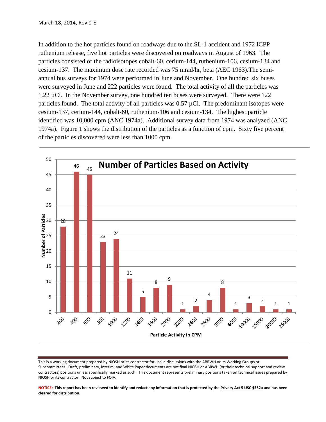In addition to the hot particles found on roadways due to the SL-1 accident and 1972 ICPP ruthenium release, five hot particles were discovered on roadways in August of 1963. The particles consisted of the radioisotopes cobalt-60, cerium-144, ruthenium-106, cesium-134 and cesium-137. The maximum dose rate recorded was 75 mrad/hr, beta (AEC 1963).The semiannual bus surveys for 1974 were performed in June and November. One hundred six buses were surveyed in June and 222 particles were found. The total activity of all the particles was 1.22 µCi. In the November survey, one hundred ten buses were surveyed. There were 122 particles found. The total activity of all particles was  $0.57 \mu$ Ci. The predominant isotopes were cesium-137, cerium-144, cobalt-60, ruthenium-106 and cesium-134. The highest particle identified was 10,000 cpm (ANC 1974a). Additional survey data from 1974 was analyzed (ANC 1974a). Figure 1 shows the distribution of the particles as a function of cpm. Sixty five percent of the particles discovered were less than 1000 cpm.



This is a working document prepared by NIOSH or its contractor for use in discussions with the ABRWH or its Working Groups or Subcommittees. Draft, preliminary, interim, and White Paper documents are not final NIOSH or ABRWH (or their technical support and review contractors) positions unless specifically marked as such. This document represents preliminary positions taken on technical issues prepared by NIOSH or its contractor. Not subject to FOIA.

**NOTICE: This report has been reviewed to identify and redact any information that is protected by the Privacy Act 5 USC §552a and has been cleared for distribution.**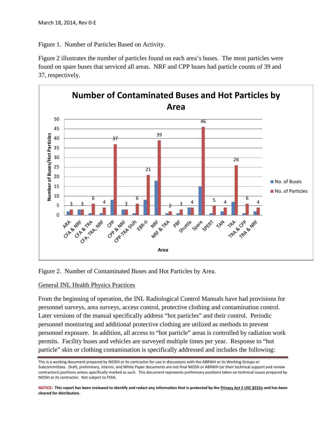Figure 1. Number of Particles Based on Activity.

Figure 2 illustrates the number of particles found on each area's buses. The most particles were found on spare buses that serviced all areas. NRF and CPP buses had particle counts of 39 and 37, respectively.



Figure 2. Number of Contaminated Buses and Hot Particles by Area.

#### General INL Health Physics Practices

From the beginning of operation, the INL Radiological Control Manuals have had provisions for personnel surveys, area surveys, access control, protective clothing and contamination control. Later versions of the manual specifically address "hot particles" and their control. Periodic personnel monitoring and additional protective clothing are utilized as methods to prevent personnel exposure. In addition, all access to "hot particle" areas is controlled by radiation work permits. Facility buses and vehicles are surveyed multiple times per year. Response to "hot particle" skin or clothing contamination is specifically addressed and includes the following:

This is a working document prepared by NIOSH or its contractor for use in discussions with the ABRWH or its Working Groups or Subcommittees. Draft, preliminary, interim, and White Paper documents are not final NIOSH or ABRWH (or their technical support and review contractors) positions unless specifically marked as such. This document represents preliminary positions taken on technical issues prepared by NIOSH or its contractor. Not subject to FOIA.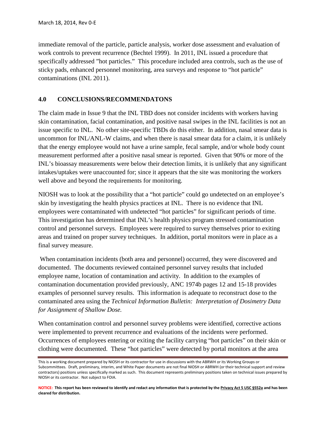immediate removal of the particle, particle analysis, worker dose assessment and evaluation of work controls to prevent recurrence (Bechtel 1999). In 2011, INL issued a procedure that specifically addressed "hot particles." This procedure included area controls, such as the use of sticky pads, enhanced personnel monitoring, area surveys and response to "hot particle" contaminations (INL 2011).

#### **4.0 CONCLUSIONS/RECOMMENDATONS**

The claim made in Issue 9 that the INL TBD does not consider incidents with workers having skin contamination, facial contamination, and positive nasal swipes in the INL facilities is not an issue specific to INL. No other site-specific TBDs do this either. In addition, nasal smear data is uncommon for INL/ANL-W claims, and when there is nasal smear data for a claim, it is unlikely that the energy employee would not have a urine sample, fecal sample, and/or whole body count measurement performed after a positive nasal smear is reported. Given that 90% or more of the INL's bioassay measurements were below their detection limits, it is unlikely that any significant intakes/uptakes were unaccounted for; since it appears that the site was monitoring the workers well above and beyond the requirements for monitoring.

NIOSH was to look at the possibility that a "hot particle" could go undetected on an employee's skin by investigating the health physics practices at INL. There is no evidence that INL employees were contaminated with undetected "hot particles" for significant periods of time. This investigation has determined that INL's health physics program stressed contamination control and personnel surveys. Employees were required to survey themselves prior to exiting areas and trained on proper survey techniques. In addition, portal monitors were in place as a final survey measure.

When contamination incidents (both area and personnel) occurred, they were discovered and documented. The documents reviewed contained personnel survey results that included employee name, location of contamination and activity. In addition to the examples of contamination documentation provided previously, ANC 1974b pages 12 and 15-18 provides examples of personnel survey results. This information is adequate to reconstruct dose to the contaminated area using the *Technical Information Bulletin: Interpretation of Dosimetry Data for Assignment of Shallow Dose.*

When contamination control and personnel survey problems were identified, corrective actions were implemented to prevent recurrence and evaluations of the incidents were performed. Occurrences of employees entering or exiting the facility carrying "hot particles" on their skin or clothing were documented. These "hot particles" were detected by portal monitors at the area

This is a working document prepared by NIOSH or its contractor for use in discussions with the ABRWH or its Working Groups or Subcommittees. Draft, preliminary, interim, and White Paper documents are not final NIOSH or ABRWH (or their technical support and review contractors) positions unless specifically marked as such. This document represents preliminary positions taken on technical issues prepared by NIOSH or its contractor. Not subject to FOIA.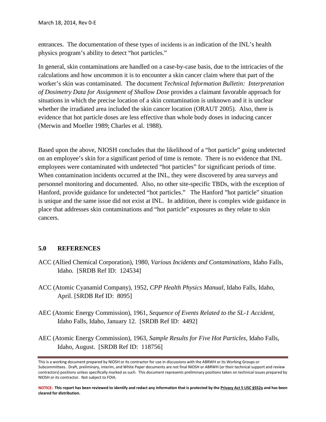entrances. The documentation of these types of incidents is an indication of the INL's health physics program's ability to detect "hot particles."

In general, skin contaminations are handled on a case-by-case basis, due to the intricacies of the calculations and how uncommon it is to encounter a skin cancer claim where that part of the worker's skin was contaminated. The document *Technical Information Bulletin: Interpretation of Dosimetry Data for Assignment of Shallow Dose* provides a claimant favorable approach for situations in which the precise location of a skin contamination is unknown and it is unclear whether the irradiated area included the skin cancer location (ORAUT 2005). Also, there is evidence that hot particle doses are less effective than whole body doses in inducing cancer (Merwin and Moeller 1989; Charles et al. 1988).

Based upon the above, NIOSH concludes that the likelihood of a "hot particle" going undetected on an employee's skin for a significant period of time is remote. There is no evidence that INL employees were contaminated with undetected "hot particles" for significant periods of time. When contamination incidents occurred at the INL, they were discovered by area surveys and personnel monitoring and documented. Also, no other site-specific TBDs, with the exception of Hanford, provide guidance for undetected "hot particles." The Hanford "hot particle" situation is unique and the same issue did not exist at INL. In addition, there is complex wide guidance in place that addresses skin contaminations and "hot particle" exposures as they relate to skin cancers.

#### **5.0 REFERENCES**

- ACC (Allied Chemical Corporation), 1980, *Various Incidents and Contaminations,* Idaho Falls, Idaho. [SRDB Ref ID: 124534]
- ACC (Atomic Cyanamid Company), 1952, *CPP Health Physics Manual,* Idaho Falls, Idaho, April. [SRDB Ref ID: 8095]
- AEC (Atomic Energy Commission), 1961, *Sequence of Events Related to the SL-1 Accident,*  Idaho Falls, Idaho, January 12. [SRDB Ref ID: 4492]
- AEC (Atomic Energy Commission), 1963, *Sample Results for Five Hot Particles,* Idaho Falls, Idaho, August. [SRDB Ref ID: 118756]

This is a working document prepared by NIOSH or its contractor for use in discussions with the ABRWH or its Working Groups or Subcommittees. Draft, preliminary, interim, and White Paper documents are not final NIOSH or ABRWH (or their technical support and review contractors) positions unless specifically marked as such. This document represents preliminary positions taken on technical issues prepared by NIOSH or its contractor. Not subject to FOIA.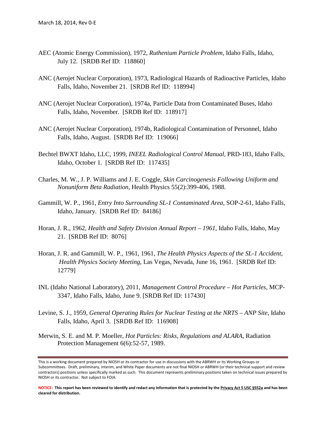- AEC (Atomic Energy Commission), 1972, *Ruthenium Particle Problem,* Idaho Falls, Idaho, July 12. [SRDB Ref ID: 118860]
- ANC (Aerojet Nuclear Corporation), 1973, Radiological Hazards of Radioactive Particles, Idaho Falls, Idaho, November 21. [SRDB Ref ID: 118994]
- ANC (Aerojet Nuclear Corporation), 1974a, Particle Data from Contaminated Buses, Idaho Falls, Idaho, November. [SRDB Ref ID: 118917]
- ANC (Aerojet Nuclear Corporation), 1974b, Radiological Contamination of Personnel, Idaho Falls, Idaho, August. [SRDB Ref ID: 119066]
- Bechtel BWXT Idaho, LLC, 1999, *INEEL Radiological Control Manual*, PRD-183, Idaho Falls, Idaho, October 1. [SRDB Ref ID: 117435]
- Charles, M. W., J. P. Williams and J. E. Coggle, *Skin Carcinogenesis Following Uniform and Nonuniform Beta Radiation*, Health Physics 55(2):399-406, 1988.
- Gammill, W. P., 1961, *Entry Into Surrounding SL-1 Contaminated Area*, SOP-2-61, Idaho Falls, Idaho, January. [SRDB Ref ID: 84186]
- Horan, J. R., 1962, *Health and Safety Division Annual Report – 1961*, Idaho Falls, Idaho, May 21. [SRDB Ref ID: 8076]
- Horan, J. R. and Gammill, W. P., 1961, 1961, *The Health Physics Aspects of the SL-1 Accident, Health Physics Society Meeting*, Las Vegas, Nevada, June 16, 1961. [SRDB Ref ID: 12779]
- INL (Idaho National Laboratory), 2011, *Management Control Procedure – Hot Particles,* MCP-3347, Idaho Falls, Idaho, June 9. [SRDB Ref ID: 117430]
- Levine, S. J., 1959, *General Operating Rules for Nuclear Testing at the NRTS – ANP Site*, Idaho Falls, Idaho, April 3. [SRDB Ref ID: 116908]
- Merwin, S. E. and M. P. Moeller, *Hot Particles: Risks, Regulations and ALARA*, Radiation Protection Management 6(6):52-57, 1989.

This is a working document prepared by NIOSH or its contractor for use in discussions with the ABRWH or its Working Groups or Subcommittees. Draft, preliminary, interim, and White Paper documents are not final NIOSH or ABRWH (or their technical support and review contractors) positions unless specifically marked as such. This document represents preliminary positions taken on technical issues prepared by NIOSH or its contractor. Not subject to FOIA.